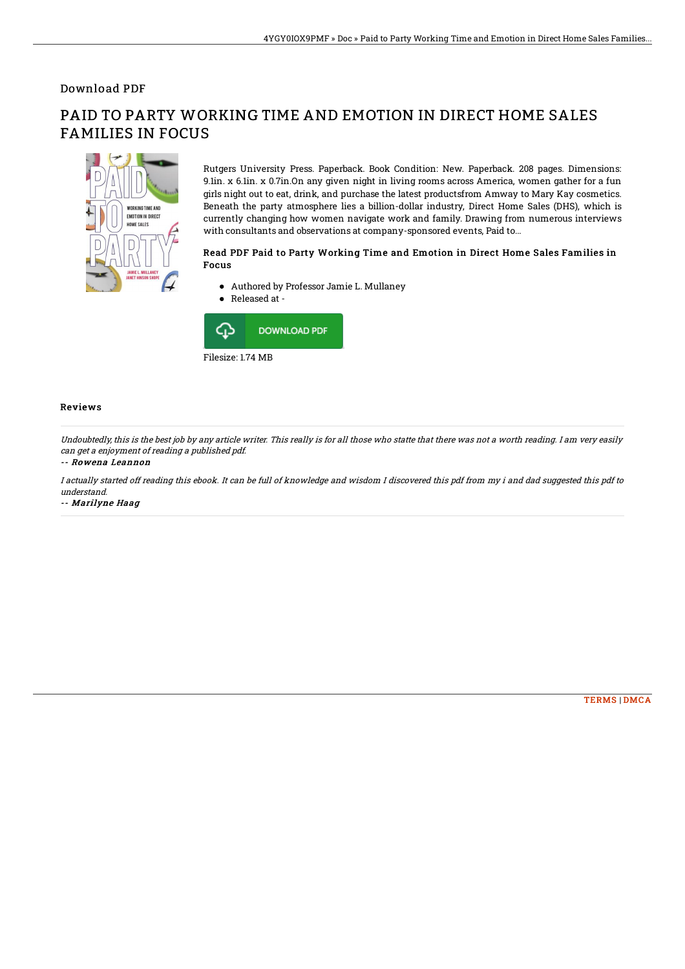### Download PDF

# **WORKING TIME AND** EMOTION IN DIRECT HOME SALES

# PAID TO PARTY WORKING TIME AND EMOTION IN DIRECT HOME SALES FAMILIES IN FOCUS

Rutgers University Press. Paperback. Book Condition: New. Paperback. 208 pages. Dimensions: 9.1in. x 6.1in. x 0.7in.On any given night in living rooms across America, women gather for a fun girls night out to eat, drink, and purchase the latest productsfrom Amway to Mary Kay cosmetics. Beneath the party atmosphere lies a billion-dollar industry, Direct Home Sales (DHS), which is currently changing how women navigate work and family. Drawing from numerous interviews with consultants and observations at company-sponsored events, Paid to...

#### Read PDF Paid to Party Working Time and Emotion in Direct Home Sales Families in Focus

- Authored by Professor Jamie L. Mullaney
- Released at -



#### Reviews

Undoubtedly, this is the best job by any article writer. This really is for all those who statte that there was not <sup>a</sup> worth reading. I am very easily can get <sup>a</sup> enjoyment of reading <sup>a</sup> published pdf.

#### -- Rowena Leannon

I actually started off reading this ebook. It can be full of knowledge and wisdom I discovered this pdf from my i and dad suggested this pdf to understand.

-- Marilyne Haag